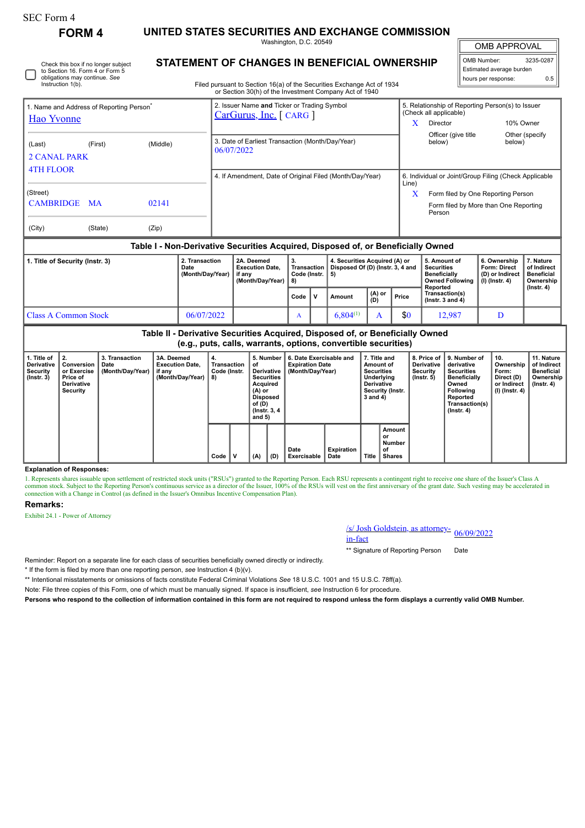# SEC Form 4

**FORM 4 UNITED STATES SECURITIES AND EXCHANGE COMMISSION** Washington, D.C. 20549

 $\sqrt{1}$ 

| <b>OMB APPROVAL</b>      |           |  |  |  |  |  |  |  |  |
|--------------------------|-----------|--|--|--|--|--|--|--|--|
| OMB Number:              | 3235-0287 |  |  |  |  |  |  |  |  |
| Estimated average burden |           |  |  |  |  |  |  |  |  |
| hours per response:      | ስ 5       |  |  |  |  |  |  |  |  |

Check this box if no longer subject to Section 16. Form 4 or Form 5 obligations may continue. *See* Instruction 1(b).

## **STATEMENT OF CHANGES IN BENEFICIAL OWNERSHIP**

Filed pursuant to Section 16(a) of the Securities Exchange Act of 1934 or Section 30(h) of the Investment Company Act of 1940

|                                          | 1. Name and Address of Reporting Person <sup>®</sup> |          | 2. Issuer Name and Ticker or Trading Symbol                    | 5. Relationship of Reporting Person(s) to Issuer<br>(Check all applicable) |                                                                                       |                          |  |  |
|------------------------------------------|------------------------------------------------------|----------|----------------------------------------------------------------|----------------------------------------------------------------------------|---------------------------------------------------------------------------------------|--------------------------|--|--|
| Hao Yvonne                               |                                                      |          | CarGurus, Inc. [CARG]                                          | X                                                                          | Director                                                                              | 10% Owner                |  |  |
| (Last)<br><b>2 CANAL PARK</b>            | (First)                                              | (Middle) | 3. Date of Earliest Transaction (Month/Day/Year)<br>06/07/2022 |                                                                            | Officer (give title<br>below)                                                         | Other (specify<br>below) |  |  |
| <b>4TH FLOOR</b>                         |                                                      |          | 4. If Amendment, Date of Original Filed (Month/Day/Year)       | 6. Individual or Joint/Group Filing (Check Applicable<br>Line)             |                                                                                       |                          |  |  |
| (Street)<br><b>CAMBRIDGE MA</b><br>02141 |                                                      |          |                                                                | X                                                                          | Form filed by One Reporting Person<br>Form filed by More than One Reporting<br>Person |                          |  |  |
| (City)                                   | (State)                                              | (Zip)    |                                                                |                                                                            |                                                                                       |                          |  |  |

### **Table I - Non-Derivative Securities Acquired, Disposed of, or Beneficially Owned**

| 1. Title of Security (Instr. 3) | 2. Transaction<br>Date<br>(Month/Day/Year) | l 2A. Deemed<br><b>Execution Date.</b><br>l if anv<br>(Month/Dav/Year) | Transaction<br>Code (Instr.  <br>1 R) |  | 4. Securities Acquired (A) or<br>Disposed Of (D) (Instr. 3, 4 and<br>l 51 |                   |       | 5. Amount of<br>Securities<br><b>Beneficially</b><br>Owned Following<br>Reported | 6. Ownership<br><b>Form: Direct</b><br>(D) or Indirect<br>$(l)$ (lnstr. 4) | . Nature<br>of Indirect<br><b>Beneficial</b><br>Ownership |
|---------------------------------|--------------------------------------------|------------------------------------------------------------------------|---------------------------------------|--|---------------------------------------------------------------------------|-------------------|-------|----------------------------------------------------------------------------------|----------------------------------------------------------------------------|-----------------------------------------------------------|
|                                 |                                            |                                                                        | Code                                  |  | Amount                                                                    | $ $ (A) or<br>(D) | Price | Transaction(s)<br>( $lnstr.$ 3 and 4)                                            |                                                                            | $($ lnstr. 4 $)$                                          |
| <b>Class A Common Stock</b>     | 06/07/2022                                 |                                                                        | A                                     |  | $6.804^{(1)}$                                                             |                   | \$0   | 12.987                                                                           |                                                                            |                                                           |

| Table II - Derivative Securities Acquired, Disposed of, or Beneficially Owned<br>(e.g., puts, calls, warrants, options, convertible securities) |                                                                         |                                            |                                                                    |                                         |  |                                                                                                                                    |     |                                                                       |                           |                                                                                                                   |                                               |                                                                  |                                                                                                                                                |                                                                          |                                                                           |
|-------------------------------------------------------------------------------------------------------------------------------------------------|-------------------------------------------------------------------------|--------------------------------------------|--------------------------------------------------------------------|-----------------------------------------|--|------------------------------------------------------------------------------------------------------------------------------------|-----|-----------------------------------------------------------------------|---------------------------|-------------------------------------------------------------------------------------------------------------------|-----------------------------------------------|------------------------------------------------------------------|------------------------------------------------------------------------------------------------------------------------------------------------|--------------------------------------------------------------------------|---------------------------------------------------------------------------|
| 1. Title of<br>Derivative<br>Security<br>$($ lnstr. 3 $)$                                                                                       | I 2.<br>Conversion<br>or Exercise<br>Price of<br>Derivative<br>Security | 3. Transaction<br>Date<br>(Month/Day/Year) | 3A. Deemed<br><b>Execution Date.</b><br>if any<br>(Month/Day/Year) | 4.<br>Transaction<br>Code (Instr.<br>8) |  | 5. Number<br>οf<br>Derivative<br><b>Securities</b><br>Acquired<br>(A) or<br><b>Disposed</b><br>of (D)<br>(Instr. 3, 4)<br>and $5)$ |     | 6. Date Exercisable and<br><b>Expiration Date</b><br>(Month/Day/Year) |                           | 7. Title and<br>Amount of<br><b>Securities</b><br>Underlying<br><b>Derivative</b><br>Security (Instr.<br>3 and 4) |                                               | 8. Price of<br><b>Derivative</b><br>Security<br>$($ lnstr. 5 $)$ | 9. Number of<br>derivative<br><b>Securities</b><br><b>Beneficially</b><br>Owned<br>Following<br>Reported<br>Transaction(s)<br>$($ Instr. 4 $)$ | 10.<br>Ownership<br>Form:<br>Direct (D)<br>or Indirect<br>(I) (Instr. 4) | 11. Nature<br>of Indirect<br><b>Beneficial</b><br>Ownership<br>(Instr. 4) |
|                                                                                                                                                 |                                                                         |                                            |                                                                    | Code                                    |  | (A)                                                                                                                                | (D) | Date<br>Exercisable                                                   | <b>Expiration</b><br>Date | Title                                                                                                             | Amount<br>or<br>Number<br>of<br><b>Shares</b> |                                                                  |                                                                                                                                                |                                                                          |                                                                           |

### **Explanation of Responses:**

1. Represents shares issuable upon settlement of restricted stock units ("RSUs") granted to the Reporting Person. Each RSU represents a contingent right to receive one share of the Issuer's Class A common stock. Subject to

#### **Remarks:**

J

Exhibit 24.1 - Power of Attorney

# /s/ Josh Goldstein, as attorney-<br>in-fact

\*\* Signature of Reporting Person Date

Reminder: Report on a separate line for each class of securities beneficially owned directly or indirectly.

\* If the form is filed by more than one reporting person, *see* Instruction 4 (b)(v).

\*\* Intentional misstatements or omissions of facts constitute Federal Criminal Violations *See* 18 U.S.C. 1001 and 15 U.S.C. 78ff(a).

Note: File three copies of this Form, one of which must be manually signed. If space is insufficient, *see* Instruction 6 for procedure.

**Persons who respond to the collection of information contained in this form are not required to respond unless the form displays a currently valid OMB Number.**